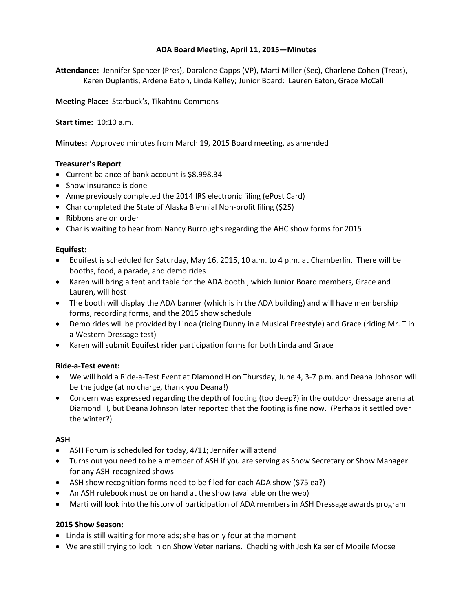# **ADA Board Meeting, April 11, 2015—Minutes**

**Attendance:** Jennifer Spencer (Pres), Daralene Capps (VP), Marti Miller (Sec), Charlene Cohen (Treas), Karen Duplantis, Ardene Eaton, Linda Kelley; Junior Board: Lauren Eaton, Grace McCall

**Meeting Place:** Starbuck's, Tikahtnu Commons

**Start time:** 10:10 a.m.

**Minutes:** Approved minutes from March 19, 2015 Board meeting, as amended

# **Treasurer's Report**

- Current balance of bank account is \$8,998.34
- Show insurance is done
- Anne previously completed the 2014 IRS electronic filing (ePost Card)
- Char completed the State of Alaska Biennial Non-profit filing (\$25)
- Ribbons are on order
- Char is waiting to hear from Nancy Burroughs regarding the AHC show forms for 2015

## **Equifest:**

- Equifest is scheduled for Saturday, May 16, 2015, 10 a.m. to 4 p.m. at Chamberlin. There will be booths, food, a parade, and demo rides
- Karen will bring a tent and table for the ADA booth , which Junior Board members, Grace and Lauren, will host
- The booth will display the ADA banner (which is in the ADA building) and will have membership forms, recording forms, and the 2015 show schedule
- Demo rides will be provided by Linda (riding Dunny in a Musical Freestyle) and Grace (riding Mr. T in a Western Dressage test)
- Karen will submit Equifest rider participation forms for both Linda and Grace

# **Ride-a-Test event:**

- We will hold a Ride-a-Test Event at Diamond H on Thursday, June 4, 3-7 p.m. and Deana Johnson will be the judge (at no charge, thank you Deana!)
- Concern was expressed regarding the depth of footing (too deep?) in the outdoor dressage arena at Diamond H, but Deana Johnson later reported that the footing is fine now. (Perhaps it settled over the winter?)

## **ASH**

- ASH Forum is scheduled for today, 4/11; Jennifer will attend
- Turns out you need to be a member of ASH if you are serving as Show Secretary or Show Manager for any ASH-recognized shows
- ASH show recognition forms need to be filed for each ADA show (\$75 ea?)
- An ASH rulebook must be on hand at the show (available on the web)
- Marti will look into the history of participation of ADA members in ASH Dressage awards program

## **2015 Show Season:**

- Linda is still waiting for more ads; she has only four at the moment
- We are still trying to lock in on Show Veterinarians. Checking with Josh Kaiser of Mobile Moose